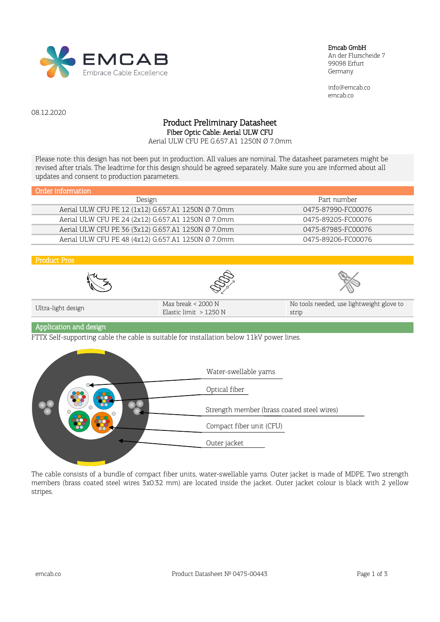

#### Emcab GmbH

An der Flurscheide 7 99098 Erfurt Germany

info@emcab.co emcab.co

08.12.2020

## Product Preliminary Datasheet Fiber Optic Cable: Aerial ULW CFU

Aerial ULW CFU PE G.657.A1 1250N Ø 7.0mm

Please note: this design has not been put in production. All values are nominal. The datasheet parameters might be revised after trials. The leadtime for this design should be agreed separately. Make sure you are informed about all updates and consent to production parameters.

| Order information                                  |                    |
|----------------------------------------------------|--------------------|
| Design                                             | Part number        |
| Aerial ULW CFU PE 12 (1x12) G.657.A1 1250N Ø 7.0mm | 0475-87990-FC00076 |
| Aerial ULW CFU PE 24 (2x12) G.657.A1 1250N Ø 7.0mm | 0475-89205-FC00076 |
| Aerial ULW CFU PE 36 (3x12) G.657.A1 1250N Ø 7.0mm | 0475-87985-FC00076 |
| Aerial ULW CFU PE 48 (4x12) G.657.A1 1250N Ø 7.0mm | 0475-89206-FC00076 |









| Ultra-light design | Max break < 2000 N<br>Elastic limit $>1250$ N | No tools needed, use lightweight glove to<br>strip |
|--------------------|-----------------------------------------------|----------------------------------------------------|
|                    |                                               |                                                    |

## Application and design

FTTX Self-supporting cable the cable is suitable for installation below 11kV power lines.



The cable consists of a bundle of compact fiber units, water-swellable yarns. Outer jacket is made of MDPE. Two strength members (brass coated steel wires 3х0.32 mm) are located inside the jacket. Outer jacket colour is black with 2 yellow stripes.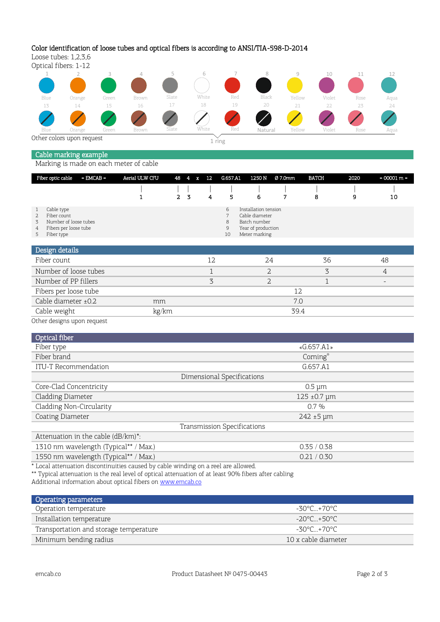# Color identification of loose tubes and optical fibers is according to ANSI/TIA-598-D-2014

Loose tubes: 1,2,3,6





# Cable marking example

Marking is made on each meter of cable

| Fiber optic cable                                                                                                | $=$ EMCAB $=$ | Aerial ULW CFU | 48             | 4 | 12<br>x | G.657.A1               | 1250 N                                                                                        | Ø 7.0mm | <b>BATCH</b> | 2020 | $= 00001 m =$ |
|------------------------------------------------------------------------------------------------------------------|---------------|----------------|----------------|---|---------|------------------------|-----------------------------------------------------------------------------------------------|---------|--------------|------|---------------|
|                                                                                                                  |               |                | $\overline{2}$ | 3 | 4       | 5                      | 6                                                                                             | 7       | 8            | 9    | 10            |
| Cable type<br>Fiber count<br>2.<br>Number of loose tubes<br>3.<br>Fibers per loose tube<br>4<br>Fiber type<br>5. |               |                |                |   |         | 6<br>7<br>8<br>9<br>10 | Installation tension<br>Cable diameter<br>Batch number<br>Year of production<br>Meter marking |         |              |      |               |
| Design details                                                                                                   |               |                |                |   |         |                        |                                                                                               |         |              |      |               |
| Fiber count                                                                                                      |               |                |                |   | 12      |                        | 24                                                                                            |         | 36           |      | 48            |
| Number of loose tubes                                                                                            |               |                |                |   |         |                        | 2                                                                                             |         | 3            |      | 4             |
| Number of PP fillers                                                                                             |               |                |                |   | 3       |                        | $\overline{2}$                                                                                |         | ┑            |      |               |
| Fibers per loose tube                                                                                            |               |                |                |   |         |                        |                                                                                               |         | 12           |      |               |

Cable weight **kg/km** 39.4 Other designs upon request

| Optical fiber                         |                              |  |  |  |
|---------------------------------------|------------------------------|--|--|--|
| Fiber type                            | «G.657.A1»                   |  |  |  |
| Fiber brand                           | Corning®                     |  |  |  |
| ITU-T Recommendation                  | G.657.A1                     |  |  |  |
| Dimensional Specifications            |                              |  |  |  |
| Core-Clad Concentricity               | $0.5 \mu m$                  |  |  |  |
| Cladding Diameter                     | $125 \pm 0.7 \,\text{\mu m}$ |  |  |  |
| Cladding Non-Circularity              | $0.7\%$                      |  |  |  |
| Coating Diameter                      | $242 \pm 5 \,\text{µm}$      |  |  |  |
| Transmission Specifications           |                              |  |  |  |
| Attenuation in the cable (dB/km)*:    |                              |  |  |  |
| 1310 nm wavelength (Typical** / Max.) | 0.35/0.38                    |  |  |  |

| 1550 nm wavelength (Typical** / Max.) |                                                                                   |  |
|---------------------------------------|-----------------------------------------------------------------------------------|--|
|                                       | * Local attenuation discontinuities caused by cable winding on a reel are allowed |  |

\* Local attenuation discontinuities caused by cable winding on a reel are allowed.

\*\* Typical attenuation is the real level of optical attenuation of at least 90% fibers after cabling

Cable diameter ±0.2 mm 7.0

Additional information about optical fibers on [www.emcab.co](https://emcab.co/)

| Operating parameters                   |                     |
|----------------------------------------|---------------------|
| Operation temperature                  | -30°C +70°C         |
| Installation temperature               | -20°C +50°C         |
| Transportation and storage temperature | -30°C +70°C         |
| Minimum bending radius                 | 10 x cable diameter |

 $0.21 / 0.30$